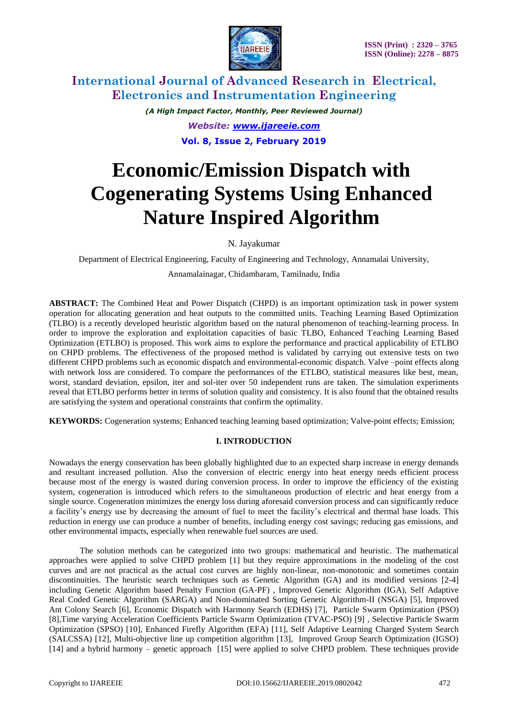

*(A High Impact Factor, Monthly, Peer Reviewed Journal) Website: [www.ijareeie.com](http://www.ijareeie.com/)* **Vol. 8, Issue 2, February 2019**

# **Economic/Emission Dispatch with Cogenerating Systems Using Enhanced Nature Inspired Algorithm**

N. Jayakumar

Department of Electrical Engineering, Faculty of Engineering and Technology, Annamalai University,

Annamalainagar, Chidambaram, Tamilnadu, India

**ABSTRACT:** The Combined Heat and Power Dispatch (CHPD) is an important optimization task in power system operation for allocating generation and heat outputs to the committed units. Teaching Learning Based Optimization (TLBO) is a recently developed heuristic algorithm based on the natural phenomenon of teaching-learning process. In order to improve the exploration and exploitation capacities of basic TLBO, Enhanced Teaching Learning Based Optimization (ETLBO) is proposed. This work aims to explore the performance and practical applicability of ETLBO on CHPD problems. The effectiveness of the proposed method is validated by carrying out extensive tests on two different CHPD problems such as economic dispatch and environmental-economic dispatch. Valve –point effects along with network loss are considered. To compare the performances of the ETLBO, statistical measures like best, mean, worst, standard deviation, epsilon, iter and sol-iter over 50 independent runs are taken. The simulation experiments reveal that ETLBO performs better in terms of solution quality and consistency. It is also found that the obtained results are satisfying the system and operational constraints that confirm the optimality.

**KEYWORDS:** Cogeneration systems; Enhanced teaching learning based optimization; Valve-point effects; Emission;

# **I. INTRODUCTION**

Nowadays the energy conservation has been globally highlighted due to an expected sharp increase in energy demands and resultant increased pollution. Also the conversion of electric energy into heat energy needs efficient process because most of the energy is wasted during conversion process. In order to improve the efficiency of the existing system, cogeneration is introduced which refers to the simultaneous production of electric and heat energy from a single source. Cogeneration minimizes the energy loss during aforesaid conversion process and can significantly reduce a facility's energy use by decreasing the amount of fuel to meet the facility's electrical and thermal base loads. This reduction in energy use can produce a number of benefits, including energy cost savings; reducing gas emissions, and other environmental impacts, especially when renewable fuel sources are used.

The solution methods can be categorized into two groups: mathematical and heuristic. The mathematical approaches were applied to solve CHPD problem [1] but they require approximations in the modeling of the cost curves and are not practical as the actual cost curves are highly non-linear, non-monotonic and sometimes contain discontinuities. The heuristic search techniques such as Genetic Algorithm (GA) and its modified versions [2-4] including Genetic Algorithm based Penalty Function (GA-PF) , Improved Genetic Algorithm (IGA), Self Adaptive Real Coded Genetic Algorithm (SARGA) and Non-dominated Sorting Genetic Algorithm-II (NSGA) [5], Improved Ant Colony Search [6], Economic Dispatch with Harmony Search (EDHS) [7], Particle Swarm Optimization (PSO) [8],Time varying Acceleration Coefficients Particle Swarm Optimization (TVAC-PSO) [9] , Selective Particle Swarm Optimization (SPSO) [10], Enhanced Firefly Algorithm (EFA) [11], Self Adaptive Learning Charged System Search (SALCSSA) [12], Multi-objective line up competition algorithm [13], Improved Group Search Optimization (IGSO) [14] and a hybrid harmony – genetic approach [15] were applied to solve CHPD problem. These techniques provide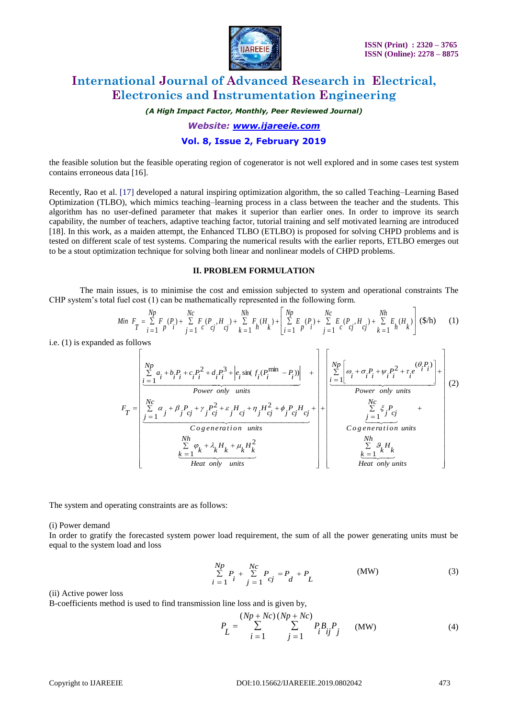

*(A High Impact Factor, Monthly, Peer Reviewed Journal)*

*Website: [www.ijareeie.com](http://www.ijareeie.com/)*

### **Vol. 8, Issue 2, February 2019**

the feasible solution but the feasible operating region of cogenerator is not well explored and in some cases test system contains erroneous data [16].

Recently, Rao et al. [17] developed a natural inspiring optimization algorithm, the so called Teaching–Learning Based Optimization (TLBO), which mimics teaching–learning process in a class between the teacher and the students. This algorithm has no user-defined parameter that makes it superior than earlier ones. In order to improve its search capability, the number of teachers, adaptive teaching factor, tutorial training and self motivated learning are introduced [18]. In this work, as a maiden attempt, the Enhanced TLBO (ETLBO) is proposed for solving CHPD problems and is tested on different scale of test systems. Comparing the numerical results with the earlier reports, ETLBO emerges out to be a stout optimization technique for solving both linear and nonlinear models of CHPD problems.

### **II. PROBLEM FORMULATION**

The main issues, is to minimise the cost and emission subjected to system and operational constraints The CHP system's total fuel cost (1) can be mathematically represented in the following form.

$$
Min \ \ F_T = \sum_{i=1}^{Np} F_i(P_i) + \sum_{j=1}^{Nc} F_i(P_j, H_j) + \sum_{k=1}^{Nh} F_k(H_k) + \left[ \sum_{i=1}^{Np} E_i(P_i) + \sum_{j=1}^{Nc} E_i(P_j, H_j) + \sum_{k=1}^{Nh} E_k(H_k) \right] \tag{1}
$$

i.e. (1) is expanded as follows

$$
F_{T} = \begin{bmatrix} Np \\ \sum_{i=1}^{N} a_{i} + b_{i}P_{i} + c_{i}P_{i}^{2} + d_{i}P_{i}^{3} + \left| e_{i}\sin(f_{i}(P_{i}^{\min} - P_{i})) \right| & + \\ \frac{Nc}{2} \left[ \omega_{i} + \sigma_{i}P_{i} + \psi_{i}P_{i}^{2} + \tau_{i}e^{i\theta_{i}P_{i}} \right] + \\ \frac{Nc}{2} \left[ \omega_{i} + \sigma_{i}P_{i} + \psi_{i}P_{i}^{2} + \tau_{i}e^{i\theta_{i}P_{i}} \right] + \\ \frac{Nc}{2} \left[ \omega_{i} + \sigma_{i}P_{i} + \psi_{i}P_{i}^{2} + \tau_{i}e^{i\theta_{i}P_{i}} \right] + \\ \frac{Nc}{2} \left[ \omega_{i} + \sigma_{i}P_{i} + \psi_{i}P_{i}^{2} + \tau_{i}e^{i\theta_{i}P_{i}} \right] + \\ \frac{Nc}{2} \left[ \omega_{i} + \sigma_{i}P_{i} + \psi_{i}P_{i}^{2} + \tau_{i}e^{i\theta_{i}P_{i}} \right] + \\ \frac{Nc}{2} \left[ \omega_{i} + \sigma_{i}P_{i} + \psi_{i}P_{i}^{2} + \tau_{i}e^{i\theta_{i}P_{i}} \right] + \\ \frac{Nc}{2} \left[ \omega_{i} + \sigma_{i}P_{i} + \psi_{i}P_{i}^{2} + \tau_{i}e^{i\theta_{i}P_{i}} \right] + \\ \frac{Nc}{2} \left[ \omega_{i} + \sigma_{i}P_{i} + \psi_{i}P_{i}^{2} + \tau_{i}e^{i\theta_{i}P_{i}} \right] + \\ \frac{Nc}{2} \left[ \omega_{i} + \sigma_{i}P_{i} + \psi_{i}P_{i}^{2} + \tau_{i}e^{i\theta_{i}P_{i}} \right] + \\ \frac{Nc}{2} \left[ \omega_{i} + \sigma_{i}P_{i} + \psi_{i}P_{i}^{2} + \tau_{i}e^{i\theta_{i}P_{i}} \right] + \\ \frac{Nc}{2} \left[ \omega_{i} + \sigma_{i}P_{i} + \psi_{i}P_{i}^{2} + \tau_{i}e
$$

The system and operating constraints are as follows:

(i) Power demand

In order to gratify the forecasted system power load requirement, the sum of all the power generating units must be equal to the system load and loss

$$
\sum_{i=1}^{Np} P_i + \sum_{j=1}^{Nc} P_{cj} = P_d + P_L
$$
 (MW) (3)

(ii) Active power loss

B-coefficients method is used to find transmission line loss and is given by,

$$
P_{L} = \sum_{i=1}^{(Np + Nc) (Np + Nc)} \sum_{j=1}^{Nc} P_{i} B_{ij} P_{j} \qquad (MW)
$$
 (4)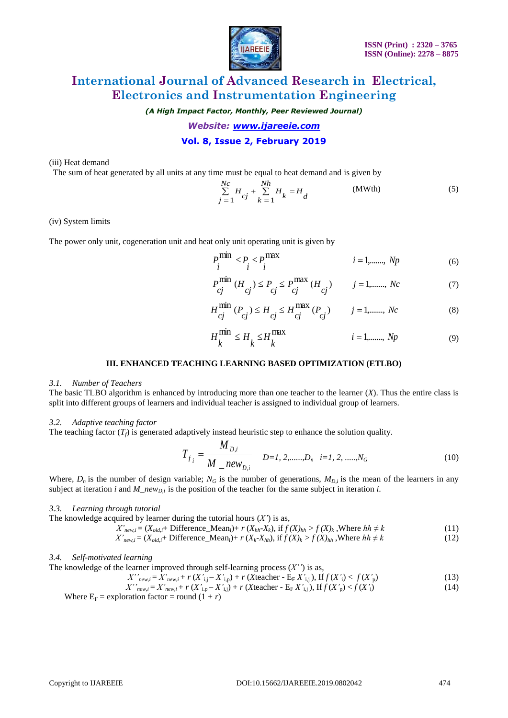

*(A High Impact Factor, Monthly, Peer Reviewed Journal)*

*Website: [www.ijareeie.com](http://www.ijareeie.com/)*

## **Vol. 8, Issue 2, February 2019**

(iii) Heat demand

The sum of heat generated by all units at any time must be equal to heat demand and is given by

$$
\sum_{j=1}^{Nc} H_{cj} + \sum_{k=1}^{Nh} H_k = H_d
$$
 (MWth) (5)

(iv) System limits

The power only unit, cogeneration unit and heat only unit operating unit is given by

$$
P_i^{\text{min}} \le P_i \le P_i^{\text{max}} \qquad i = 1, \dots, Np \qquad (6)
$$

$$
P_{cj}^{\min} (H_{cj}) \le P_{cj} \le P_{cj}^{\max} (H_{cj}) \qquad j = 1, \dots, Nc
$$
 (7)

$$
H_{cj}^{\min} (P_{cj}) \le H_{cj} \le H_{cj}^{\max} (P_{cj}) \qquad j = 1, \dots, Nc
$$
 (8)

$$
H_k^{\min} \le H_k \le H_k^{\max} \qquad i = 1, \dots, Np \tag{9}
$$

#### **III. ENHANCED TEACHING LEARNING BASED OPTIMIZATION (ETLBO)**

#### *3.1. Number of Teachers*

The basic TLBO algorithm is enhanced by introducing more than one teacher to the learner (*X*). Thus the entire class is split into different groups of learners and individual teacher is assigned to individual group of learners.

#### *3.2. Adaptive teaching factor*

The teaching factor  $(T_f)$  is generated adaptively instead heuristic step to enhance the solution quality.

$$
T_{f_i} = \frac{M_{D,i}}{M_{\_}new_{D,i}} \quad D=1, 2, \dots, D_n \quad i=1, 2, \dots, N_G \tag{10}
$$

Where,  $D_n$  is the number of design variable;  $N_G$  is the number of generations,  $M_{D,i}$  is the mean of the learners in any subject at iteration *i* and *M\_newD,i* is the position of the teacher for the same subject in iteration *i*.

#### *3.3. Learning through tutorial*

The knowledge acquired by learner during the tutorial hours  $(X')$  is as,

 $X'_{new,i} = (X_{old,i} + \text{Difference\_Mean}_i) + r(X_{hh} - X_k)$ , if  $f(X)_{hh} > f(X)_k$ , Where  $hh \neq k$  (11)

$$
X'_{new,i} = (X_{old,i} + \text{Difference\_Mean}_i) + r(X_k - X_{hh}), \text{ if } f(X)_k > f(X)_{hh}, \text{Where } hh \neq k \tag{12}
$$

### *3.4. Self-motivated learning*

The knowledge of the learner improved through self-learning process  $(X'')$  is as,

$$
X''_{new,i} = X'_{new,i} + r(X'_{i,j} - X'_{i,p}) + r(Xteacher - E_F X'_{i,j}), \text{If } f(X') < f(X'_{p}) \tag{13}
$$

$$
X^{\prime\prime}{}_{new,i} = X^{\prime}{}_{new,i} + r(X^{\prime}{}_{i,p} - X^{\prime}{}_{i,j}) + r(X\text{teacher } - E_{F}X^{\prime}{}_{i,j}), \text{ If } f(X^{\prime}{}_{p}) < f(X^{\prime}{}_{i}) \tag{14}
$$

Where  $E_F$  = exploration factor = round  $(1 + r)$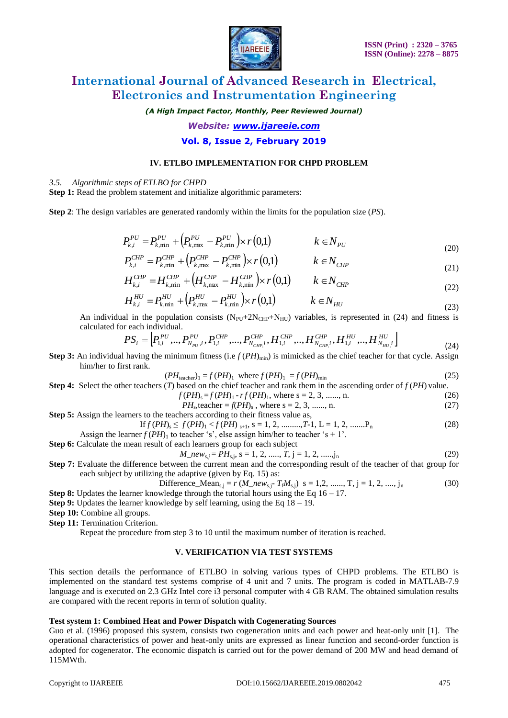

*(A High Impact Factor, Monthly, Peer Reviewed Journal)*

*Website: [www.ijareeie.com](http://www.ijareeie.com/)*

### **Vol. 8, Issue 2, February 2019**

#### **IV. ETLBO IMPLEMENTATION FOR CHPD PROBLEM**

#### *3.5. Algorithmic steps of ETLBO for CHPD*

**Step 1:** Read the problem statement and initialize algorithmic parameters:

**Step 2**: The design variables are generated randomly within the limits for the population size (*PS*).

$$
P_{k,i}^{PU} = P_{k,\min}^{PU} + \left( P_{k,\max}^{PU} - P_{k,\min}^{PU} \right) \times r(0,1) \qquad k \in N_{PU}
$$
\n(20)

$$
P_{k,i}^{CHP} = P_{k,\min}^{CHP} + \left(P_{k,\max}^{CHP} - P_{k,\min}^{CHP}\right) \times r\left(0,1\right) \qquad k \in N_{CHP} \tag{21}
$$

$$
H_{k,i}^{CHP} = H_{k,\min}^{CHP} + \left(H_{k,\max}^{CHP} - H_{k,\min}^{CHP}\right) \times r(0,1) \qquad k \in N_{CHP}
$$
\n(22)

$$
H_{k,i}^{HU} = P_{k,\min}^{HU} + \left( P_{k,\max}^{HU} - P_{k,\min}^{HU} \right) \times r(0,1) \qquad k \in N_{HU}
$$
\n(23)

An individual in the population consists  $(N_{\text{PII}}+2N_{\text{CHP}}+N_{\text{HI}})$  variables, is represented in (24) and fitness is calculated for each individual.

$$
PS_i=\left[ P_{1,i}^{PU},...,P_{N_{PU},i}^{PU},P_{1,i}^{CHP},...,P_{N_{CHP,i}}^{CHP},H_{1,i}^{CHP},...,H_{N_{CHP,i}}^{CHP},H_{1,i}^{HU},...,H_{N_{HU,i}}^{HU}\right]
$$

**Step 3:** An individual having the minimum fitness (i.e  $f(PH)_{min}$ ) is mimicked as the chief teacher for that cycle. Assign him/her to first rank.

$$
(PHteacher)1 = f (PH)1 where f (PH)1 = f (PH)min
$$
 (25)

**Step 4:** Select the other teachers (*T*) based on the chief teacher and rank them in the ascending order of *f* (*PH*) value.  $f(PH) = f(PH) - rf(PH)$ , where  $s = 2, 3, \dots, n$ . (26)

$$
f(TH)_s - f(TH)_1 - f(TH)_1
$$
, where  $s = 2, 3, \dots, n$ .  
\n $PH_s$ , teacher =  $f(PH)_s$ , where  $s = 2, 3, \dots, n$ . (27)

**Step 5:** Assign the learners to the teachers according to their fitness value as,

$$
\text{If } f(PH)_s \le f(PH)_1 < f(PH)_{s+1}, \, s = 1, \, 2, \, \dots, T-1, \, L = 1, \, 2, \, \dots, P_n \tag{28}
$$
\n
$$
\text{logmer } f(PH)_s \le f(PH)_1 < f(PH)_{s+1}, \, s = 1, \, 2, \, \dots, T-1, \, L = 1, \, 2, \, \dots, P_n
$$

Assign the learner  $f(PH)$ <sub>1</sub> to teacher 's', else assign him/her to teacher 's + 1'. **Step 6:** Calculate the mean result of each learners group for each subject

$$
M_{\perp}new_{s,j} = PH_{s,j}, s = 1, 2, \dots, T, j = 1, 2, \dots, j_n
$$
 (29)

**Step 7:** Evaluate the difference between the current mean and the corresponding result of the teacher of that group for each subject by utilizing the adaptive (given by Eq. 15) as:

Difference\_Mean<sub>s,j</sub> = 
$$
r (M_{\text{new}}^{\dagger} T_f M_{\text{s,j}}) \ s = 1, 2, \dots, T, j = 1, 2, \dots, j_n
$$
 (30)

**Step 8:** Updates the learner knowledge through the tutorial hours using the Eq 16 – 17.

**Step 9:** Updates the learner knowledge by self learning, using the Eq 18 – 19.

**Step 10:** Combine all groups.

**Step 11:** Termination Criterion.

Repeat the procedure from step 3 to 10 until the maximum number of iteration is reached.

### **V. VERIFICATION VIA TEST SYSTEMS**

This section details the performance of ETLBO in solving various types of CHPD problems. The ETLBO is implemented on the standard test systems comprise of 4 unit and 7 units. The program is coded in MATLAB-7.9 language and is executed on 2.3 GHz Intel core i3 personal computer with 4 GB RAM. The obtained simulation results are compared with the recent reports in term of solution quality.

#### **Test system 1: Combined Heat and Power Dispatch with Cogenerating Sources**

Guo et al. (1996) proposed this system, consists two cogeneration units and each power and heat-only unit [1]. The operational characteristics of power and heat-only units are expressed as linear function and second-order function is adopted for cogenerator. The economic dispatch is carried out for the power demand of 200 MW and head demand of 115MWth.

(24)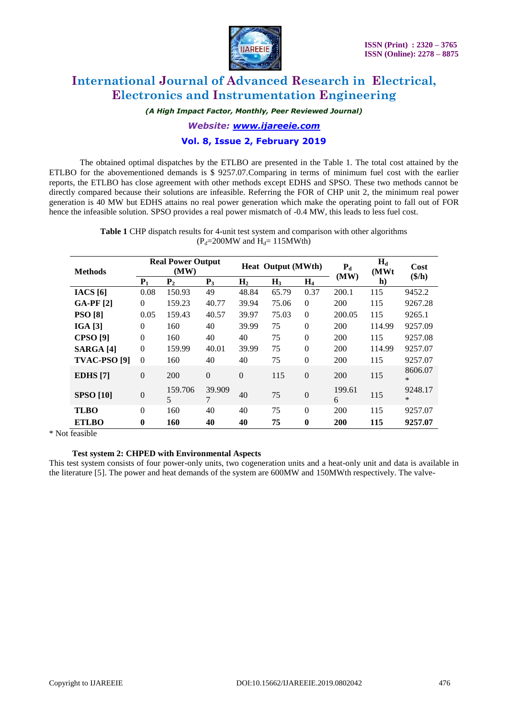

*(A High Impact Factor, Monthly, Peer Reviewed Journal)*

*Website: [www.ijareeie.com](http://www.ijareeie.com/)*

### **Vol. 8, Issue 2, February 2019**

The obtained optimal dispatches by the ETLBO are presented in the Table 1. The total cost attained by the ETLBO for the abovementioned demands is \$ 9257.07.Comparing in terms of minimum fuel cost with the earlier reports, the ETLBO has close agreement with other methods except EDHS and SPSO. These two methods cannot be directly compared because their solutions are infeasible. Referring the FOR of CHP unit 2, the minimum real power generation is 40 MW but EDHS attains no real power generation which make the operating point to fall out of FOR hence the infeasible solution. SPSO provides a real power mismatch of -0.4 MW, this leads to less fuel cost.

> **Table 1** CHP dispatch results for 4-unit test system and comparison with other algorithms  $(P_d=200MW \text{ and } H_d=115MWth)$

| <b>Methods</b>          | <b>Real Power Output</b><br>(MW) |                |             | Heat Output (MWth) |                |                  | $P_{d}$     | $H_d$<br>(MWt | Cost              |
|-------------------------|----------------------------------|----------------|-------------|--------------------|----------------|------------------|-------------|---------------|-------------------|
|                         | $P_{1}$                          | P <sub>2</sub> | $P_3$       | H <sub>2</sub>     | H <sub>3</sub> | $H_4$            | (MW)        | h)            | $(\$/h)$          |
| IACS [6]                | 0.08                             | 150.93         | 49          | 48.84              | 65.79          | 0.37             | 200.1       | 115           | 9452.2            |
| <b>GA-PF</b> [2]        | $\Omega$                         | 159.23         | 40.77       | 39.94              | 75.06          | $\Omega$         | 200         | 115           | 9267.28           |
| <b>PSO</b> [8]          | 0.05                             | 159.43         | 40.57       | 39.97              | 75.03          | $\overline{0}$   | 200.05      | 115           | 9265.1            |
| IGA [3]                 | $\Omega$                         | 160            | 40          | 39.99              | 75             | $\overline{0}$   | 200         | 114.99        | 9257.09           |
| <b>CPSO</b> [9]         | $\Omega$                         | 160            | 40          | 40                 | 75             | $\overline{0}$   | 200         | 115           | 9257.08           |
| <b>SARGA</b> [4]        | $\theta$                         | 159.99         | 40.01       | 39.99              | 75             | $\overline{0}$   | 200         | 114.99        | 9257.07           |
| TVAC-PSO <sub>[9]</sub> | $\theta$                         | 160            | 40          | 40                 | 75             | $\theta$         | 200         | 115           | 9257.07           |
| <b>EDHS</b> [7]         | $\overline{0}$                   | 200            | $\theta$    | $\overline{0}$     | 115            | $\overline{0}$   | 200         | 115           | 8606.07<br>$\ast$ |
| <b>SPSO</b> [10]        | $\boldsymbol{0}$                 | 159.706<br>5   | 39.909<br>7 | 40                 | 75             | $\boldsymbol{0}$ | 199.61<br>6 | 115           | 9248.17<br>$\ast$ |
| <b>TLBO</b>             | $\Omega$                         | 160            | 40          | 40                 | 75             | $\theta$         | 200         | 115           | 9257.07           |
| <b>ETLBO</b>            | $\mathbf{0}$                     | 160            | 40          | 40                 | 75             | $\bf{0}$         | 200         | 115           | 9257.07           |

\* Not feasible

### **Test system 2: CHPED with Environmental Aspects**

This test system consists of four power-only units, two cogeneration units and a heat-only unit and data is available in the literature [5]. The power and heat demands of the system are 600MW and 150MWth respectively. The valve-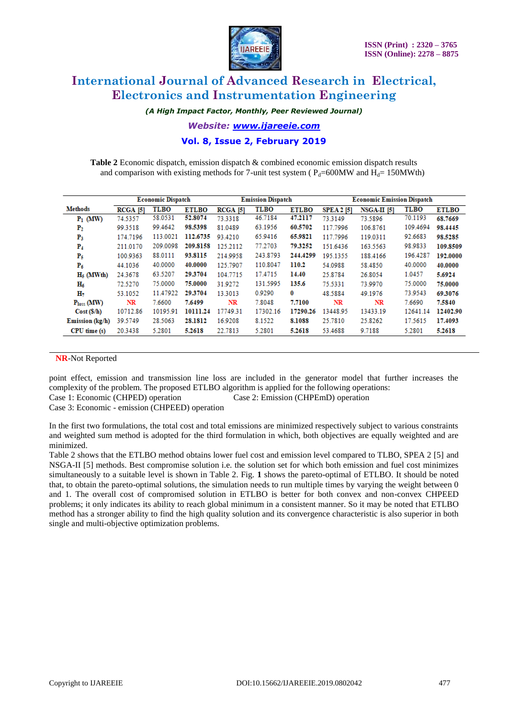

*(A High Impact Factor, Monthly, Peer Reviewed Journal)*

*Website: [www.ijareeie.com](http://www.ijareeie.com/)*

**Vol. 8, Issue 2, February 2019**

**Table 2** Economic dispatch, emission dispatch & combined economic emission dispatch results and comparison with existing methods for 7-unit test system ( $P_d$ =600MW and  $H_d$ = 150MWth)

|                        | <b>Economic Dispatch</b> |             |              |            | <b>Emission Dispatch</b> |              | <b>Economic Emission Dispatch</b> |               |             |              |
|------------------------|--------------------------|-------------|--------------|------------|--------------------------|--------------|-----------------------------------|---------------|-------------|--------------|
| <b>Methods</b>         | <b>RCGA [5]</b>          | <b>TLBO</b> | <b>ETLBO</b> | $RCGA$ [5] | <b>TLBO</b>              | <b>ETLBO</b> | <b>SPEA 2 [5]</b>                 | $NSGA-II$ [5] | <b>TLBO</b> | <b>ETLBO</b> |
| $P_1$ (MW)             | 74.5357                  | 58.0531     | 52.8074      | 73.3318    | 46.7184                  | 47.2117      | 73.3149                           | 73.5896       | 70.1193     | 68.7669      |
| P <sub>2</sub>         | 99.3518                  | 99.4642     | 98.5398      | 81.0489    | 63.1956                  | 60.5702      | 117.7996                          | 106.8761      | 109.4694    | 98.4445      |
| $P_3$                  | 174.7196                 | 113.0021    | 112.6735     | 93.4210    | 65.9416                  | 65.9821      | 117.7996                          | 119.0311      | 92.6683     | 98.5285      |
| P4                     | 211.0170                 | 209.0098    | 209.8158     | 125.2112   | 77.2703                  | 79.3252      | 151.6436                          | 163.5563      | 98.9833     | 109.8509     |
| P5                     | 100.9363                 | 88.0111     | 93.8115      | 214.9958   | 243.8793                 | 244.4299     | 195.1355                          | 188,4166      | 196.4287    | 192.0000     |
| $P_6$                  | 44.1036                  | 40.0000     | 40.0000      | 125.7907   | 110.8047                 | 110.2        | 54.0988                           | 58.4850       | 40.0000     | 40,0000      |
| $H5$ (MWth)            | 24.3678                  | 63.5207     | 29.3704      | 104.7715   | 17.4715                  | 14.40        | 25.8784                           | 26.8054       | 1.0457      | 5.6924       |
| $\rm{H}_6$             | 72.5270                  | 75,0000     | 75.0000      | 31.9272    | 131.5995                 | 135.6        | 75.5331                           | 73.9970       | 75,0000     | 75,0000      |
| н,                     | 53.1052                  | 11.47922    | 29.3704      | 13.3013    | 0.9290                   | $\bf{0}$     | 48.5884                           | 49.1976       | 73.9543     | 69.3076      |
| P <sub>loss</sub> (MW) | NR                       | 7.6600      | 7.6499       | NR         | 7.8048                   | 7.7100       | NR                                | NR            | 7.6690      | 7.5840       |
| Cost(S/h)              | 10712.86                 | 10195.91    | 10111.24     | 17749.31   | 17302.16                 | 17290.26     | 13448.95                          | 13433.19      | 12641.14    | 12402.90     |
| Emission (kg/h)        | 39.5749                  | 28.5063     | 28.1812      | 16.9208    | 8.1522                   | 8.1088       | 25.7810                           | 25.8262       | 17.5615     | 17.4093      |
| CPU time(s)            | 20.3438                  | 5.2801      | 5.2618       | 22.7813    | 5.2801                   | 5.2618       | 53.4688                           | 9.7188        | 5.2801      | 5.2618       |

#### **NR**-Not Reported

point effect, emission and transmission line loss are included in the generator model that further increases the complexity of the problem. The proposed ETLBO algorithm is applied for the following operations: Case 1: Economic (CHPED) operation Case 2: Emission (CHPEmD) operation

Case 3: Economic - emission (CHPEED) operation

In the first two formulations, the total cost and total emissions are minimized respectively subject to various constraints and weighted sum method is adopted for the third formulation in which, both objectives are equally weighted and are minimized.

Table 2 shows that the ETLBO method obtains lower fuel cost and emission level compared to TLBO, SPEA 2 [5] and NSGA-II [5] methods. Best compromise solution i.e. the solution set for which both emission and fuel cost minimizes simultaneously to a suitable level is shown in Table 2. Fig. **1** shows the pareto-optimal of ETLBO. It should be noted that, to obtain the pareto-optimal solutions, the simulation needs to run multiple times by varying the weight between 0 and 1. The overall cost of compromised solution in ETLBO is better for both convex and non-convex CHPEED problems; it only indicates its ability to reach global minimum in a consistent manner. So it may be noted that ETLBO method has a stronger ability to find the high quality solution and its convergence characteristic is also superior in both single and multi-objective optimization problems.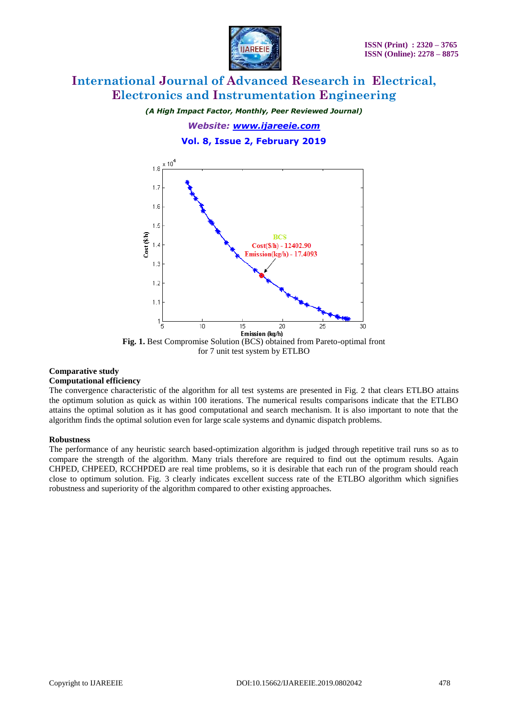

*(A High Impact Factor, Monthly, Peer Reviewed Journal)*

*Website: [www.ijareeie.com](http://www.ijareeie.com/)*

**Vol. 8, Issue 2, February 2019**



for 7 unit test system by ETLBO

# **Comparative study**

## **Computational efficiency**

The convergence characteristic of the algorithm for all test systems are presented in Fig. 2 that clears ETLBO attains the optimum solution as quick as within 100 iterations. The numerical results comparisons indicate that the ETLBO attains the optimal solution as it has good computational and search mechanism. It is also important to note that the algorithm finds the optimal solution even for large scale systems and dynamic dispatch problems.

### **Robustness**

The performance of any heuristic search based-optimization algorithm is judged through repetitive trail runs so as to compare the strength of the algorithm. Many trials therefore are required to find out the optimum results. Again CHPED, CHPEED, RCCHPDED are real time problems, so it is desirable that each run of the program should reach close to optimum solution. Fig. 3 clearly indicates excellent success rate of the ETLBO algorithm which signifies robustness and superiority of the algorithm compared to other existing approaches.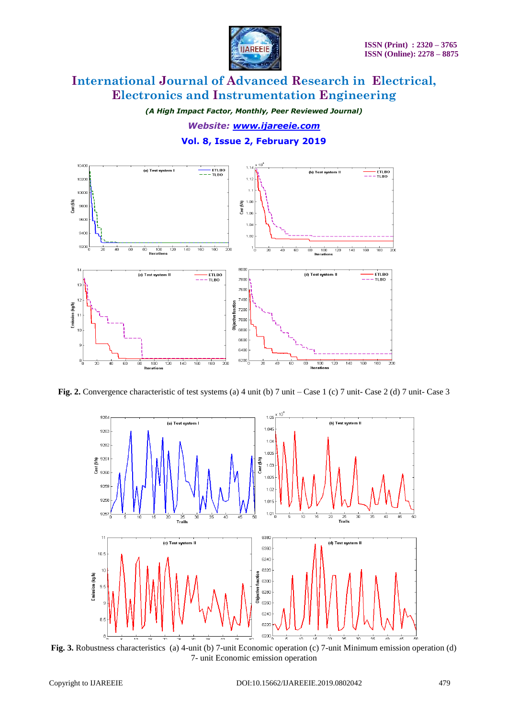

*(A High Impact Factor, Monthly, Peer Reviewed Journal) Website: [www.ijareeie.com](http://www.ijareeie.com/)* **Vol. 8, Issue 2, February 2019**



**Fig. 2.** Convergence characteristic of test systems (a) 4 unit (b) 7 unit – Case 1 (c) 7 unit- Case 2 (d) 7 unit- Case 3



**Fig. 3.** Robustness characteristics (a) 4-unit (b) 7-unit Economic operation (c) 7-unit Minimum emission operation (d) 7- unit Economic emission operation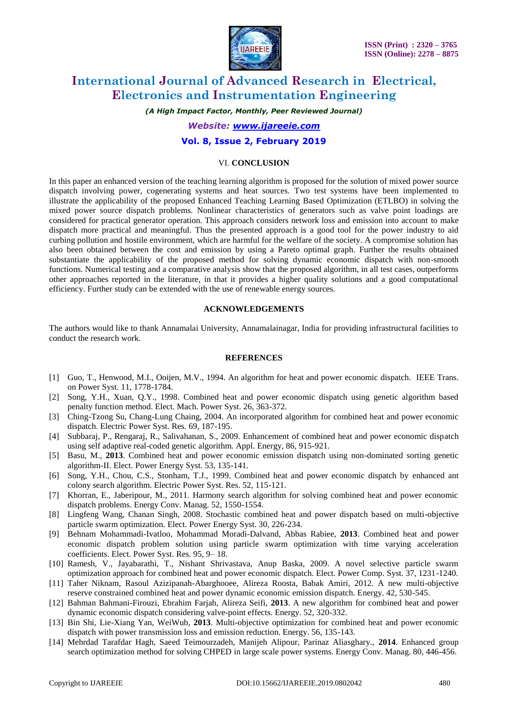

*(A High Impact Factor, Monthly, Peer Reviewed Journal)*

*Website: [www.ijareeie.com](http://www.ijareeie.com/)*

### **Vol. 8, Issue 2, February 2019**

#### VI. **CONCLUSION**

In this paper an enhanced version of the teaching learning algorithm is proposed for the solution of mixed power source dispatch involving power, cogenerating systems and heat sources. Two test systems have been implemented to illustrate the applicability of the proposed Enhanced Teaching Learning Based Optimization (ETLBO) in solving the mixed power source dispatch problems. Nonlinear characteristics of generators such as valve point loadings are considered for practical generator operation. This approach considers network loss and emission into account to make dispatch more practical and meaningful. Thus the presented approach is a good tool for the power industry to aid curbing pollution and hostile environment, which are harmful for the welfare of the society. A compromise solution has also been obtained between the cost and emission by using a Pareto optimal graph. Further the results obtained substantiate the applicability of the proposed method for solving dynamic economic dispatch with non-smooth functions. Numerical testing and a comparative analysis show that the proposed algorithm, in all test cases, outperforms other approaches reported in the literature, in that it provides a higher quality solutions and a good computational efficiency. Further study can be extended with the use of renewable energy sources.

#### **ACKNOWLEDGEMENTS**

The authors would like to thank Annamalai University, Annamalainagar, India for providing infrastructural facilities to conduct the research work.

#### **REFERENCES**

- [1] Guo, T., Henwood, M.I., Ooijen, M.V., 1994. An algorithm for heat and power economic dispatch. IEEE Trans. on Power Syst. 11, 1778-1784.
- [2] Song, Y.H., Xuan, Q.Y., 1998. Combined heat and power economic dispatch using genetic algorithm based penalty function method. Elect. Mach. Power Syst. 26, 363-372.
- [3] Ching-Tzong Su, Chang-Lung Chaing, 2004. An incorporated algorithm for combined heat and power economic dispatch. Electric Power Syst. Res. 69, 187-195.
- [4] Subbaraj, P., Rengaraj, R., Salivahanan, S., 2009. Enhancement of combined heat and power economic dispatch using self adaptive real-coded genetic algorithm. Appl. Energy, 86, 915-921.
- [5] Basu, M., **2013**. Combined heat and power economic emission dispatch using non-dominated sorting genetic algorithm-II. Elect. Power Energy Syst. 53, 135-141.
- [6] Song, Y.H., Chou, C.S., Stonham, T.J., 1999. Combined heat and power economic dispatch by enhanced ant colony search algorithm. Electric Power Syst. Res. 52, 115-121.
- [7] Khorran, E., Jaberipour, M., 2011. Harmony search algorithm for solving combined heat and power economic dispatch problems. Energy Conv. Manag. 52, 1550-1554.
- [8] Lingfeng Wang, Chanan Singh, 2008. Stochastic combined heat and power dispatch based on multi-objective particle swarm optimization. Elect. Power Energy Syst. 30, 226-234.
- [9] Behnam Mohammadi-Ivatloo, Mohammad Moradi-Dalvand, Abbas Rabiee, **2013**. Combined heat and power economic dispatch problem solution using particle swarm optimization with time varying acceleration coefficients. Elect. Power Syst. Res. 95, 9– 18.
- [10] Ramesh, V., Jayabarathi, T., Nishant Shrivastava, Anup Baska, 2009. A novel selective particle swarm optimization approach for combined heat and power economic dispatch. Elect. Power Comp. Syst. 37, 1231-1240.
- [11] Taher Niknam, Rasoul Azizipanah-Abarghooee, Alireza Roosta, Babak Amiri, 2012. A new multi-objective reserve constrained combined heat and power dynamic economic emission dispatch. Energy. 42, 530-545.
- [12] Bahman Bahmani-Firouzi, Ebrahim Farjah, Alireza Seifi, **2013**. A new algorithm for combined heat and power dynamic economic dispatch considering valve-point effects. Energy. 52, 320-332.
- [13] Bin Shi, Lie-Xiang Yan, WeiWub, **2013**. Multi-objective optimization for combined heat and power economic dispatch with power transmission loss and emission reduction. Energy. 56, 135-143.
- [14] Mehrdad Tarafdar Hagh, Saeed Teimourzadeh, Manijeh Alipour, Parinaz Aliasghary., **2014**. Enhanced group search optimization method for solving CHPED in large scale power systems. Energy Conv. Manag. 80, 446-456.